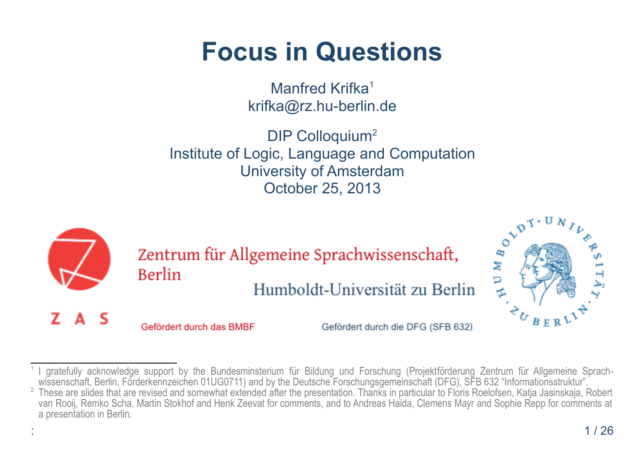# **Focus in Questions**

Manfred Krifka<sup>[1](#page-0-0)</sup> krifka@rz.hu-berlin.de

DIP Colloquium<sup>[2](#page-0-1)</sup> Institute of Logic, Language and Computation University of Amsterdam October 25, 2013



<span id="page-0-1"></span><span id="page-0-0"></span>

 $^2$  These are slides that are revised and somewhat extended after the presentation. Thanks in particular to Floris Roelofsen, Katja Jasinskaja, Robert van Rooij, Remko Scha, Martin Stokhof and Henk Zeevat for comments, and to Andreas Haida, Clemens Mayr and Sophie Repp for comments at a presentation in Berlin.

 $B E R$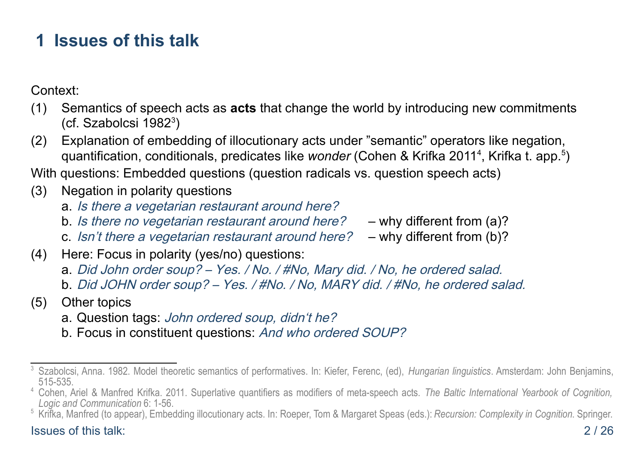# **1 Issues of this talk**

Context:

- (1) Semantics of speech acts as **acts** that change the world by introducing new commitments (cf. Szabolcsi 1982[3](#page-1-0) )
- (2) Explanation of embedding of illocutionary acts under "semantic" operators like negation, quantification, conditionals, predicates like *wonder* (Cohen & Krifka 2011<sup>[4](#page-1-1)</sup>, Krifka t. app.<sup>[5](#page-1-2)</sup>)

With questions: Embedded questions (question radicals vs. question speech acts)

- (3) Negation in polarity questions
	- a. Is there a vegetarian restaurant around here?
	- b. Is there no vegetarian restaurant around here? why different from (a)?
	- c. Isn't there a vegetarian restaurant around here?  $-$  why different from (b)?
- (4) Here: Focus in polarity (yes/no) questions:
	- a. Did John order soup? Yes. / No. / #No, Mary did. / No, he ordered salad.
	- b. Did JOHN order soup? Yes. / #No. / No, MARY did. / #No, he ordered salad.
- (5) Other topics
	- a. Question tags: John ordered soup, didn't he?
	- b. Focus in constituent questions: And who ordered SOUP?

#### Issues of this talk: 2 / 26

<span id="page-1-0"></span><sup>3</sup> Szabolcsi, Anna. 1982. Model theoretic semantics of performatives. In: Kiefer, Ferenc, (ed), *Hungarian linguistics*. Amsterdam: John Benjamins, 515-535.

<span id="page-1-1"></span><sup>4</sup> Cohen, Ariel & Manfred Krifka. 2011. Superlative quantifiers as modifiers of meta-speech acts. *The Baltic International Yearbook of Cognition, Logic and Communication* 6: 1-56.

<span id="page-1-2"></span><sup>5</sup> Krifka, Manfred (to appear), Embedding illocutionary acts. In: Roeper, Tom & Margaret Speas (eds.): *Recursion: Complexity in Cognition*. Springer.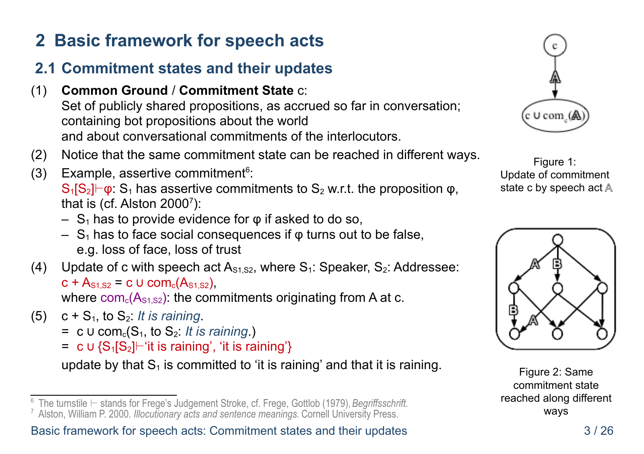# **2 Basic framework for speech acts**

### **2.1 Commitment states and their updates**

- (1) **Common Ground** / **Commitment State** c: Set of publicly shared propositions, as accrued so far in conversation; containing bot propositions about the world and about conversational commitments of the interlocutors.
- (2) Notice that the same commitment state can be reached in different ways.
- (3) Example, assertive commitment<sup>[6](#page-2-0)</sup>:

 $S_1[S_2]\vdash \varphi$ :  $S_1$  has assertive commitments to  $S_2$  w.r.t. the proposition  $\varphi$ , that is (cf. Alston  $2000^7$  $2000^7$ ):

- $-$  S<sub>1</sub> has to provide evidence for  $\varphi$  if asked to do so,
- $S_1$  has to face social consequences if  $\varphi$  turns out to be false, e.g. loss of face, loss of trust
- (4) Update of c with speech act  $A_{s1, s2}$ , where  $S_1$ : Speaker,  $S_2$ : Addressee:  $c + A_{s1,S2} = c \cup com<sub>c</sub>(A_{s1,S2})$ where  $com_c(A_{s1,s2})$ : the commitments originating from A at c.
- $(5)$  c + S<sub>1</sub>, to S<sub>2</sub>: *It is raining*.
	- $= c \cup com<sub>c</sub>(S<sub>1</sub>, to S<sub>2</sub>: It is raining.)$
	- $= c \cup {S_1[S_2]}$  | 'it is raining', 'it is raining'}

update by that  $S_1$  is committed to 'it is raining' and that it is raining.



Figure 1: Update of commitment state c by speech act  $\mathbb A$ 



Figure 2: Same commitment state reached along different ways

<span id="page-2-0"></span><sup>6</sup> The turnstile ⊢ stands for Frege's Judgement Stroke, cf. Frege, Gottlob (1979), *Begriffsschrift.*

<span id="page-2-1"></span><sup>7</sup> Alston, William P. 2000. *Illocutionary acts and sentence meanings*. Cornell University Press.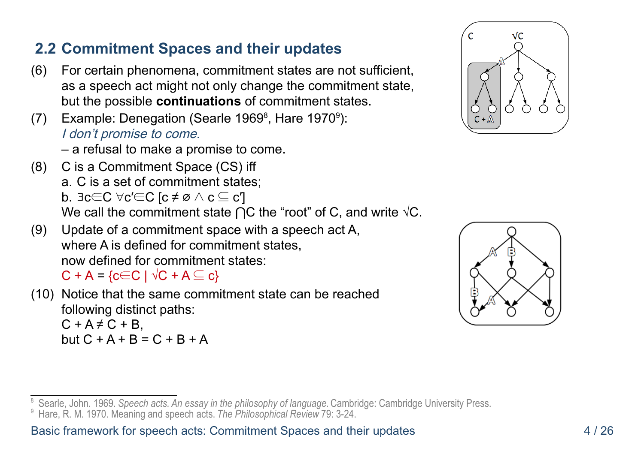#### **2.2 Commitment Spaces and their updates**

- (6) For certain phenomena, commitment states are not sufficient, as a speech act might not only change the commitment state, but the possible **continuations** of commitment states.
- (7) Example: Denegation (Searle 1[9](#page-3-1)69 $\degree$ , Hare 1970 $\degree$ ): I don't promise to come.

– a refusal to make a promise to come.

- (8) C is a Commitment Space (CS) iff a. C is a set of commitment states; b.  $\exists c \in C$   $\forall c' \in C$  [c ≠ ø ∧ c  $\subseteq$  c'] We call the commitment state  $\bigcap C$  the "root" of C, and write  $\sqrt{C}$ .
- (9) Update of a commitment space with a speech act A, where A is defined for commitment states, now defined for commitment states:

 $C + A = \{c \in C \mid \sqrt{C} + A \subseteq c\}$ 

(10) Notice that the same commitment state can be reached following distinct paths:  $C + A \neq C + B$ but  $C + A + B = C + B + A$ 





<span id="page-3-1"></span><span id="page-3-0"></span><sup>8</sup> Searle, John. 1969. *Speech acts. An essay in the philosophy of language.* Cambridge: Cambridge University Press. <sup>9</sup> Hare, R. M. 1970. Meaning and speech acts. *The Philosophical Review* 79: 3-24.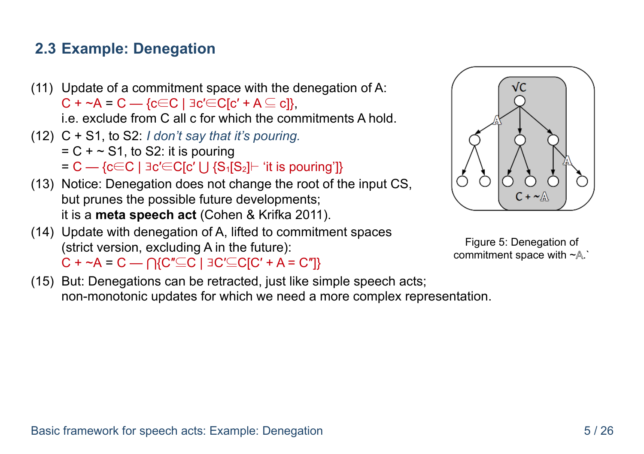#### **2.3 Example: Denegation**

- (11) Update of a commitment space with the denegation of A:  $C + \sim A = C - \{c \in C \mid \exists c' \in C[c' + A \subseteq c]\}.$ i.e. exclude from C all c for which the commitments A hold.
- (12) C + S1, to S2: *I don't say that it's pouring.*
	- $= C + \sim S1$ , to S2: it is pouring
	- $= C {c \in C \mid \exists c' \in C[c' \cup {S_1S_2} \vdash 'it \text{ is pointing'}]}$
- (13) Notice: Denegation does not change the root of the input CS, but prunes the possible future developments; it is a **meta speech act** (Cohen & Krifka 2011).
- (14) Update with denegation of A, lifted to commitment spaces (strict version, excluding A in the future):  $C + \sim A = C - \bigcap \{C'' \subseteq C \mid BC' \subseteq C[C' + A = C'']\}$

 $C + \sim$ 

√C

Figure 5: Denegation of commitment space with ~A.`

(15) But: Denegations can be retracted, just like simple speech acts; non-monotonic updates for which we need a more complex representation.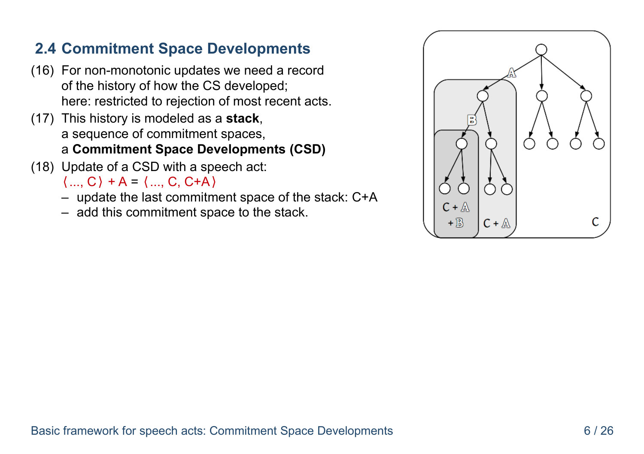#### **2.4 Commitment Space Developments**

- (16) For non-monotonic updates we need a record of the history of how the CS developed; here: restricted to rejection of most recent acts.
- (17) This history is modeled as a **stack**, a sequence of commitment spaces, a **Commitment Space Developments (CSD)**
- (18) Update of a CSD with a speech act:

 $\langle ... , C \rangle + A = \langle ... , C , C + A \rangle$ 

- update the last commitment space of the stack: C+A
- add this commitment space to the stack.

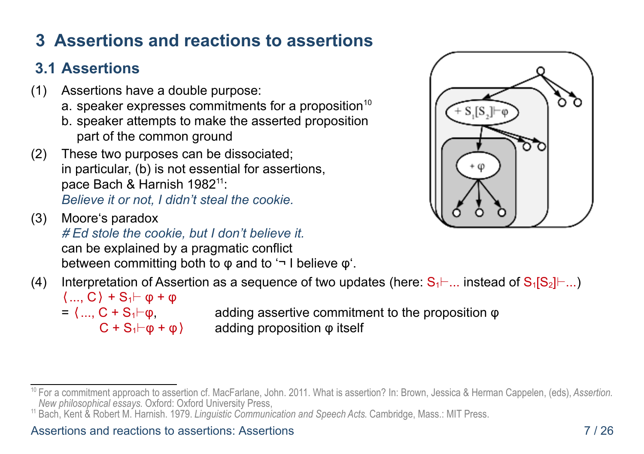# **3 Assertions and reactions to assertions**

# **3.1 Assertions**

- (1) Assertions have a double purpose:
	- a. speaker expresses commitments for a proposition<sup>[10](#page-6-0)</sup>
	- b. speaker attempts to make the asserted proposition part of the common ground
- (2) These two purposes can be dissociated; in particular, (b) is not essential for assertions, pace Bach & Harnish 1982<sup>[11](#page-6-1)</sup>: *Believe it or not, I didn't steal the cookie.*
- (3) Moore's paradox # *Ed stole the cookie, but I don't believe it.* can be explained by a pragmatic conflict between committing both to φ and to '¬ I believe φ'.
- (4) Interpretation of Assertion as a sequence of two updates (here:  $S_1 \vdash ...$  instead of  $S_1[S_2] \vdash ...$ )  $\langle \dots, C \rangle + S_1 \vdash \varphi + \varphi$ 
	-

=  $\langle ... , C + S_1 \vdash \varphi$ , adding assertive commitment to the proposition  $\varphi$  $C + S_1 \vdash \varphi + \varphi$  adding proposition  $\varphi$  itself

<span id="page-6-1"></span><sup>11</sup> Bach, Kent & Robert M. Harnish. 1979. *Linguistic Communication and Speech Acts*. Cambridge, Mass.: MIT Press.



<span id="page-6-0"></span><sup>10</sup> For a commitment approach to assertion cf. MacFarlane, John. 2011. What is assertion? In: Brown, Jessica & Herman Cappelen, (eds), *Assertion. New philosophical essays*. Oxford: Oxford University Press,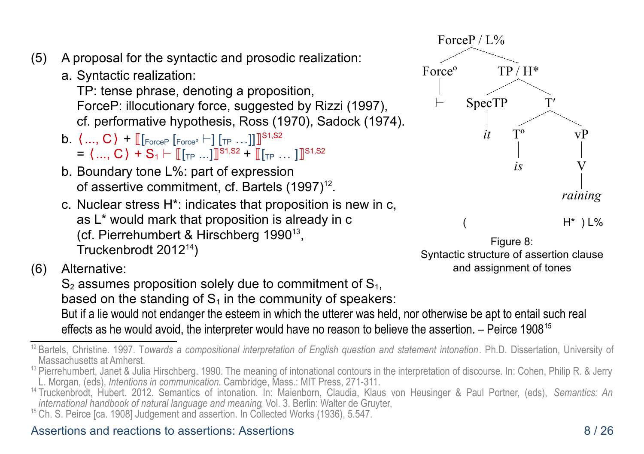- (5) A proposal for the syntactic and prosodic realization:
	- a. Syntactic realization:

TP: tense phrase, denoting a proposition, ForceP: illocutionary force, suggested by Rizzi (1997), cf. performative hypothesis, Ross (1970), Sadock (1974).

- b.  $\langle ..., C \rangle$  +  $\llbracket$  [Force<sup>o</sup>  $\vdash$ ] [TP  $...$ ]] ]<sup>S1,S2</sup>  $= \langle ...,\textsf{C}\rangle + \textsf{S}_1 \vdash \llbracket [\textsf{\tiny TP} \, ... \,]\rrbracket^{\textsf{S1},\textsf{S2}} + \llbracket [\textsf{\tiny TP} \, ...\,]\rrbracket^{\textsf{S1},\textsf{S2}}$
- b. Boundary tone L%: part of expression of assertive commitment, cf. Bartels (1997)<sup>[12](#page-7-0)</sup>.
- c. Nuclear stress H\*: indicates that proposition is new in c, as L\* would mark that proposition is already in c (cf. Pierrehumbert & Hirschberg 1990<sup>[13](#page-7-1)</sup>, Truckenbrodt 2012[14](#page-7-2))
- (6) Alternative:

 $S_2$  assumes proposition solely due to commitment of  $S_1$ , based on the standing of  $S_1$  in the community of speakers:

But if a lie would not endanger the esteem in which the utterer was held, nor otherwise be apt to entail such real effects as he would avoid, the interpreter would have no reason to believe the assertion. – Peirce 1908[15](#page-7-3)

#### Assertions and reactions to assertions: Assertions 8 / 26





<span id="page-7-0"></span><sup>12</sup> Bartels, Christine. 1997. T*owards a compositional interpretation of English question and statement intonation*. Ph.D. Dissertation, University of Massachusetts at Amherst.

<span id="page-7-1"></span><sup>&</sup>lt;sup>13</sup> Pierrehumbert, Janet & Julia Hirschberg. 1990. The meaning of intonational contours in the interpretation of discourse. In: Cohen, Philip R. & Jerry L. Morgan, (eds), *Intentions in communication*. Cambridge, Mass.: MIT Press, 271-311.

<span id="page-7-2"></span><sup>14</sup> Truckenbrodt, Hubert. 2012. Semantics of intonation. In: Maienborn, Claudia, Klaus von Heusinger & Paul Portner, (eds), *Semantics: An international handbook of natural language and meaning*, Vol. 3. Berlin: Walter de Gruyter,

<span id="page-7-3"></span><sup>&</sup>lt;sup>15</sup> Ch. S. Peirce [ca. 1908] Judgement and assertion. In Collected Works (1936), 5.547.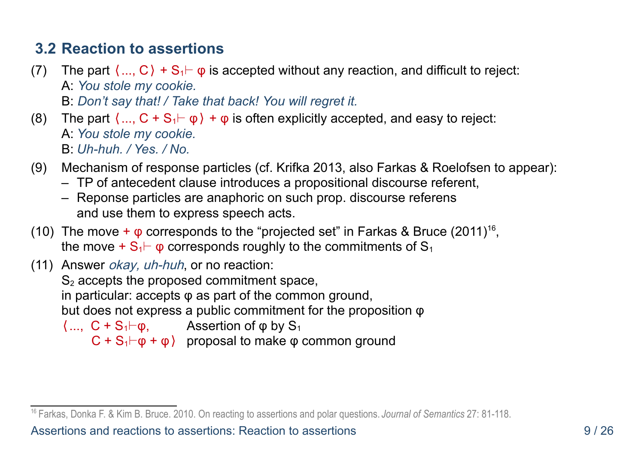#### **3.2 Reaction to assertions**

- (7) The part  $\langle \ldots, C \rangle + S_1 \vdash \varphi$  is accepted without any reaction, and difficult to reject: A: *You stole my cookie.* B: *Don't say that! / Take that back! You will regret it.*
- (8) The part  $\langle ... , C + S_1 \vdash \varphi \rangle + \varphi$  is often explicitly accepted, and easy to reject: A: *You stole my cookie.* B: *Uh-huh. / Yes. / No.*
- (9) Mechanism of response particles (cf. Krifka 2013, also Farkas & Roelofsen to appear):
	- TP of antecedent clause introduces a propositional discourse referent,
	- Reponse particles are anaphoric on such prop. discourse referens and use them to express speech acts.
- (10) The move  $+ \varphi$  corresponds to the "projected set" in Farkas & Bruce (2011)<sup>[16](#page-8-0)</sup>, the move +  $S_1$   $\vdash$   $\phi$  corresponds roughly to the commitments of  $S_1$
- (11) Answer okay, uh-huh, or no reaction:  $S<sub>2</sub>$  accepts the proposed commitment space, in particular: accepts  $\varphi$  as part of the common ground, but does not express a public commitment for the proposition φ  $\langle ... , C + S_1 \vdash \varphi$ , Assertion of  $\varphi$  by  $S_1$  $C + S_1 \vdash \varphi + \varphi$  proposal to make  $\varphi$  common ground

Assertions and reactions to assertions: Reaction to assertions 9 / 26

<span id="page-8-0"></span><sup>16</sup> Farkas, Donka F. & Kim B. Bruce. 2010. On reacting to assertions and polar questions. *Journal of Semantics* 27: 81-118.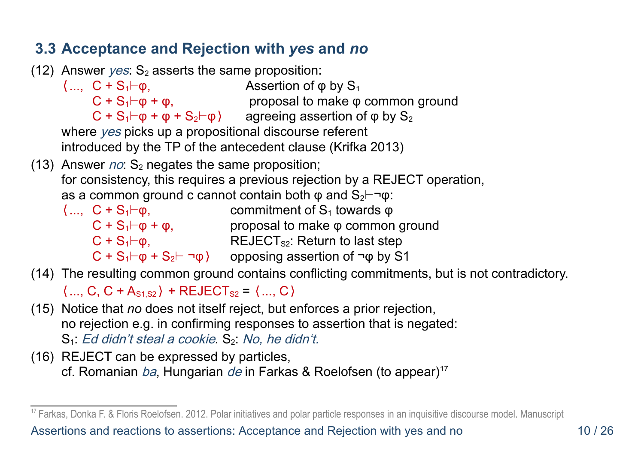#### **3.3 Acceptance and Rejection with** *yes* **and** *no*

(12) Answer yes:  $S_2$  asserts the same proposition:

 $\langle ...,\ C + S_1 \vdash \varphi,\right.$  Assertion of  $\varphi$  by  $S_1$  $C + S_1 \vdash \phi + \phi$ , proposal to make  $\phi$  common ground  $\textsf{C}$  + S<sub>1</sub>⊢φ + φ + S<sub>2</sub>⊢φ $\textsf{V}$  agreeing assertion of φ by S<sub>2</sub>

where yes picks up a propositional discourse referent introduced by the TP of the antecedent clause (Krifka 2013)

- (13) Answer  $no: S_2$  negates the same proposition; for consistency, this requires a previous rejection by a REJECT operation,
	- as a common ground c cannot contain both  $\varphi$  and S<sub>2</sub> $\vdash$ ¬ $\varphi$ :
	- $\langle ...,\ C + S_1 \vdash \varphi,\$  commitment of  $S_1$  towards  $\varphi$  $C + S_1 \vdash \varphi + \varphi$ , proposal to make  $\varphi$  common ground  $C + S_1 \vdash \phi$ , REJECT<sub>s2</sub>: Return to last step  $C$  + S<sub>1</sub>⊢φ + S<sub>2</sub>⊢ ¬φ) opposing assertion of ¬φ by S1
- (14) The resulting common ground contains conflicting commitments, but is not contradictory.

 $\langle ... , C, C + A_{s1, s2} \rangle$  + REJECT<sub>s2</sub> =  $\langle ... , C \rangle$ 

- (15) Notice that *no* does not itself reject, but enforces a prior rejection, no rejection e.g. in confirming responses to assertion that is negated: S<sub>1</sub>: Ed didn't steal a cookie, S<sub>2</sub>: No, he didn't.
- (16) REJECT can be expressed by particles, cf. Romanian ba, Hungarian de in Farkas & Roelofsen (to appear)<sup>[17](#page-9-0)</sup>

<span id="page-9-0"></span><sup>&</sup>lt;sup>17</sup> Farkas, Donka F. & Floris Roelofsen. 2012. Polar initiatives and polar particle responses in an inquisitive discourse model. Manuscript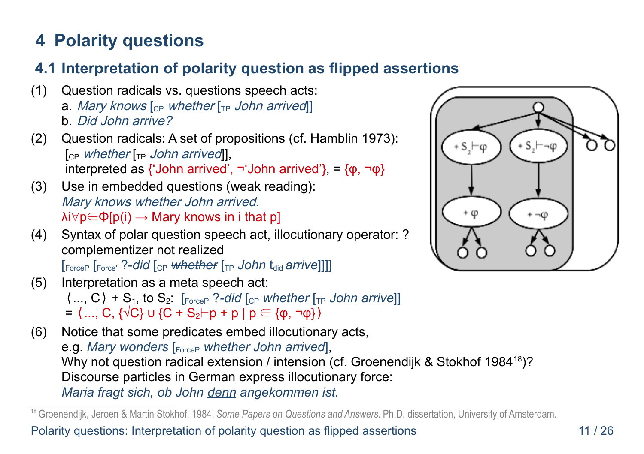# **4 Polarity questions**

### **4.1 Interpretation of polarity question as flipped assertions**

- (1) Question radicals vs. questions speech acts: a. Mary knows  $\lceil_{\text{CP}}$  whether  $\lceil_{\text{TP}}$  John arrived b. Did John arrive?
- (2) Question radicals: A set of propositions (cf. Hamblin 1973):  $\lceil_{CP}$  whether  $\lceil_{TP}$  John arrived], interpreted as {'John arrived',  $\neg$ 'John arrived'}, = {φ,  $\neg$ φ}
- (3) Use in embedded questions (weak reading): Mary knows whether John arrived.  $\lambda i \forall p \in \Phi[p(i) \rightarrow \text{Mary knows in } i \text{ that } p]$
- (4) Syntax of polar question speech act, illocutionary operator: ? complementizer not realized

[ForceP [Force' ?-did [cp whether [<sub>TP</sub> John t<sub>did</sub> arrive]]]]

- (5) Interpretation as a meta speech act:  $\langle \dots, C \rangle + S_1$ , to  $S_2$ .  $\left[\text{Force} \right]$  ?-did  $\left[\text{C}_{\text{P}}$  *whether*  $\left[\text{TP}$  John arrive]  $=$   $\langle$  ..., C,  $\{\sqrt{C}\}\cup\{C + S_2 \vdash p + p \mid p \in \{\phi, \neg \phi\}\}\$
- (6) Notice that some predicates embed illocutionary acts, e.g. *Mary wonders* [ForceP *whether John arrived*], Why not question radical extension / intension (cf. Groenendijk & Stokhof 1984<sup>[18](#page-10-0)</sup>)? Discourse particles in German express illocutionary force: *Maria fragt sich, ob John denn angekommen ist.*



<span id="page-10-0"></span><sup>18</sup> Groenendijk, Jeroen & Martin Stokhof. 1984. *Some Papers on Questions and Answers*. Ph.D. dissertation, University of Amsterdam.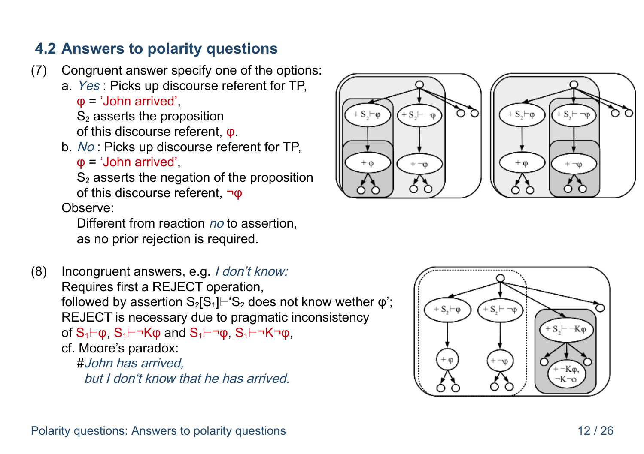#### **4.2 Answers to polarity questions**

- (7) Congruent answer specify one of the options:
	- a. Yes : Picks up discourse referent for TP,

φ = 'John arrived',

 $S<sub>2</sub>$  asserts the proposition

of this discourse referent, φ.

b. No : Picks up discourse referent for TP,

φ = 'John arrived',

 $S<sub>2</sub>$  asserts the negation of the proposition of this discourse referent,  $\neg$ <sub>Φ</sub>

Observe:

Different from reaction no to assertion. as no prior rejection is required.

(8) Incongruent answers, e.g. I don't know: Requires first a REJECT operation, followed by assertion  $S_2[S_1]\vdash S_2$  does not know wether  $\varphi$ '; REJECT is necessary due to pragmatic inconsistency of  $S_1$  $\vdash$ φ,  $S_1$  $\vdash$ ¬ $K$ φ and  $S_1$  $\vdash$ ¬ $\phi$ ,  $S_1$  $\vdash$ ¬ $K$ ¬ $\phi$ , cf. Moore's paradox: #John has arrived,

but I don't know that he has arrived.



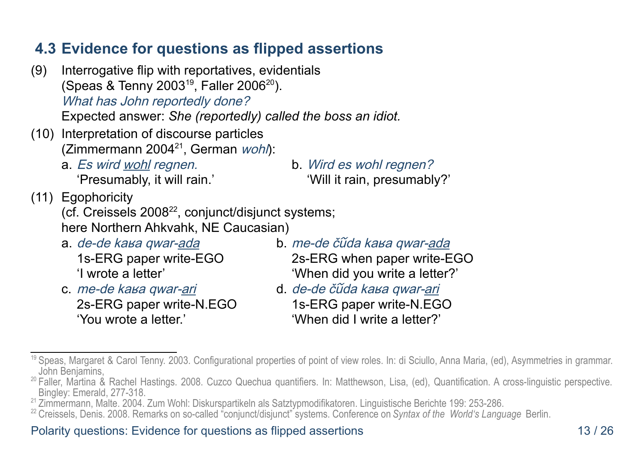#### **4.3 Evidence for questions as flipped assertions**

- (9) Interrogative flip with reportatives, evidentials (Speas & Tenny 2003<sup>[19](#page-12-0)</sup>, Faller [20](#page-12-1)06<sup>20</sup>). What has John reportedly done? Expected answer: *She (reportedly) called the boss an idiot.*
- (10) Interpretation of discourse particles (Zimmermann 2004 $^{21}$  $^{21}$  $^{21}$ , German wohl):
	- a. Es wird wohl regnen. b. Wird es wohl regnen?
		-

'Presumably, it will rain.' 'Will it rain, presumably?'

(11) Egophoricity

(cf. Creissels  $2008^{22}$  $2008^{22}$  $2008^{22}$ , conjunct/disjunct systems; here Northern Ahkvahk, NE Caucasian)

- 
- c. me-de kaʁa qwar-ari d. de-de čũda kaʁa qwar-ari
- a. de-de kaʁa qwar-ada b. me-de čũda kaʁa qwar-ada 1s-ERG paper write-EGO 2s-ERG when paper write-EGO 'I wrote a letter' 'When did you write a letter?'
	- 2s-ERG paper write-N.EGO 1s-ERG paper write-N.EGO 'You wrote a letter.' 'When did I write a letter?'

#### Polarity questions: Evidence for questions as flipped assertions 13 / 26

<span id="page-12-0"></span><sup>19</sup> Speas, Margaret & Carol Tenny. 2003. Configurational properties of point of view roles. In: di Sciullo, Anna Maria, (ed), Asymmetries in grammar. John Benjamins,

<span id="page-12-1"></span><sup>&</sup>lt;sup>20</sup> Faller, Martina & Rachel Hastings. 2008. Cuzco Quechua quantifiers. In: Matthewson, Lisa, (ed), Quantification. A cross-linguistic perspective. Bingley: Emerald, 277-318.

<span id="page-12-2"></span><sup>21</sup> Zimmermann, Malte. 2004. Zum Wohl: Diskurspartikeln als Satztypmodifikatoren. Linguistische Berichte 199: 253-286.

<span id="page-12-3"></span><sup>22</sup> Creissels, Denis. 2008. Remarks on so-called "conjunct/disjunct" systems. Conference on *Syntax of the World's Language* Berlin.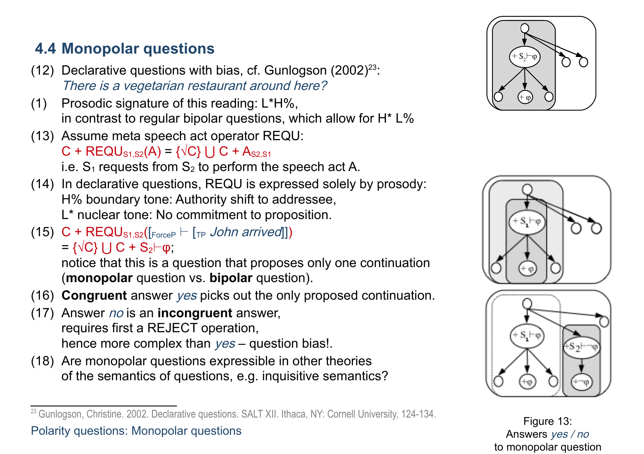### **4.4 Monopolar questions**

- (12) Declarative questions with bias, cf. Gunlogson  $(2002)^{23}$  $(2002)^{23}$  $(2002)^{23}$ . There is a vegetarian restaurant around here?
- (1) Prosodic signature of this reading: L\*H%, in contrast to regular bipolar questions, which allow for H\* L%
- (13) Assume meta speech act operator REQU:

 $C + \text{REQU}_{S1,S2}(A) = \{\sqrt{C}\}\cup C + A_{S2,S1}$ 

i.e.  $S_1$  requests from  $S_2$  to perform the speech act A.

- (14) In declarative questions, REQU is expressed solely by prosody: H% boundary tone: Authority shift to addressee, L\* nuclear tone: No commitment to proposition.
- (15)  $C$  + REQU<sub>S1,S2</sub>( $\lceil_{\text{ForceP}} \rceil$   $\lceil_{\text{TP}} \text{ John arrived} \rceil$ )

 $=\{\sqrt{C}\}\bigcup C+S_2\vdash\phi;$ 

notice that this is a question that proposes only one continuation (**monopolar** question vs. **bipolar** question).

- (16) **Congruent** answer yes picks out the only proposed continuation.
- (17) Answer no is an **incongruent** answer, requires first a REJECT operation, hence more complex than yes – question bias!.
- (18) Are monopolar questions expressible in other theories of the semantics of questions, e.g. inquisitive semantics?





Figure 13: Answers yes / no to monopolar question

<span id="page-13-0"></span><sup>&</sup>lt;sup>23</sup> Gunlogson, Christine. 2002. Declarative questions. SALT XII. Ithaca, NY: Cornell University, 124-134. Polarity questions: Monopolar questions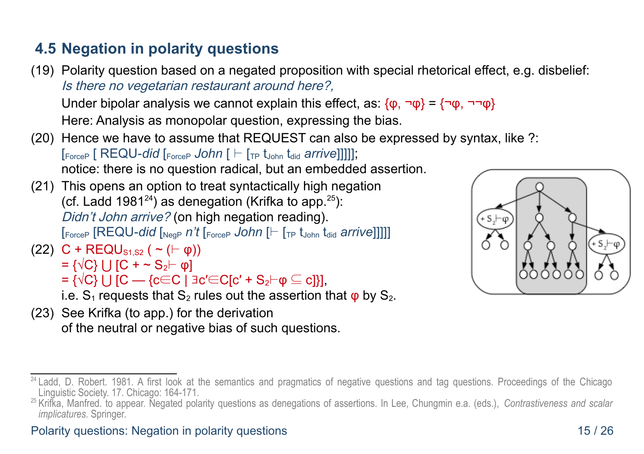### **4.5 Negation in polarity questions**

(19) Polarity question based on a negated proposition with special rhetorical effect, e.g. disbelief: Is there no vegetarian restaurant around here?,

Under bipolar analysis we cannot explain this effect, as:  $\{\varphi, \neg \varphi\} = \{\neg \varphi, \neg \neg \varphi\}$ Here: Analysis as monopolar question, expressing the bias.

- (20) Hence we have to assume that REQUEST can also be expressed by syntax, like ?:  $[_{\text{ForceP}} [ REQU-did [_{\text{ForceP}} John [ \vdash [_{\text{TP}} t_{\text{John}} t_{\text{did}} \text{ arrive}]]]]];$ notice: there is no question radical, but an embedded assertion.
- (21) This opens an option to treat syntactically high negation (cf. Ladd 1981 $^{24}$  $^{24}$  $^{24}$ ) as denegation (Krifka to app. $^{25}$  $^{25}$  $^{25}$ ): Didn't John arrive? (on high negation reading). [ForceP [REQU-*did* [NegP *n't* [ForceP *John* [⊢ [TP tJohn tdid *arrive*]]]]]
- (22)  $C + \text{REQU}_{S1S2}$  ( ~ ( $\vdash \phi$ ))  $= \{\sqrt{C}\}\cup [C + \sim S_2$  [complement of  $C$ 
	- $= \{\sqrt{C}\}\cup [C \rightarrow \{c \in C \mid \exists c' \in C[C' + S_2 \vdash \varphi \subseteq c]\}],$
	- i.e.  $S_1$  requests that  $S_2$  rules out the assertion that  $\varphi$  by  $S_2$ .
- (23) See Krifka (to app.) for the derivation of the neutral or negative bias of such questions.



#### Polarity questions: Negation in polarity questions 15 / 26

<span id="page-14-0"></span><sup>&</sup>lt;sup>24</sup> Ladd, D. Robert. 1981. A first look at the semantics and pragmatics of negative questions and tag questions. Proceedings of the Chicago Linguistic Society. 17. Chicago: 164-171.

<span id="page-14-1"></span><sup>25</sup> Krifka, Manfred. to appear. Negated polarity questions as denegations of assertions. In Lee, Chungmin e.a. (eds.), *Contrastiveness and scalar implicatures.* Springer.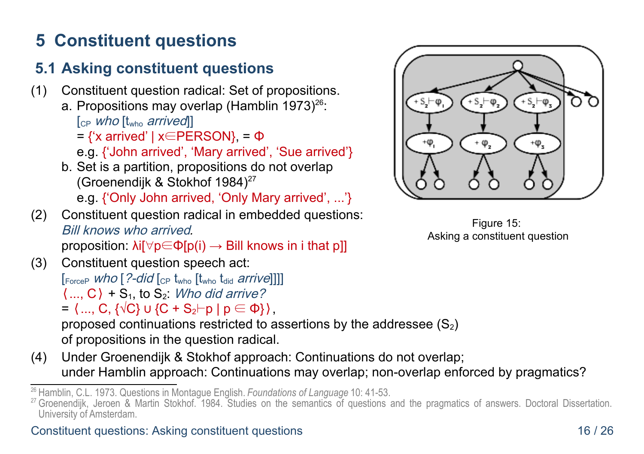# **5 Constituent questions**

# **5.1 Asking constituent questions**

- (1) Constituent question radical: Set of propositions. a. Propositions may overlap (Hamblin 1973) $^{26}$  $^{26}$  $^{26}$ :  $[CP$  *who*  $[t_{who}$  *arrived* $]$  $=$  {'x arrived' | x∈PERSON}, =  $\Phi$ e.g. {'John arrived', 'Mary arrived', 'Sue arrived'} b. Set is a partition, propositions do not overlap (Groenendijk & Stokhof 1984)<sup>[27](#page-15-1)</sup> e.g. {'Only John arrived, 'Only Mary arrived', ...'}
- (2) Constituent question radical in embedded questions: Bill knows who arrived*.* proposition:  $\lambda$ i[ $\forall p \in \Phi(p(i) \rightarrow$  Bill knows in i that p]]
- (3) Constituent question speech act:  $[ForceP$  Who  $[?$ -did  $[CP$  t<sub>who</sub>  $[$ t<sub>who</sub> t<sub>did</sub> arrive]]]]  $\langle \dots, C \rangle$  + S<sub>1</sub>, to S<sub>2</sub>. Who did arrive?  $=$   $\langle ... , C, \{\sqrt{C}\}\cup \{C + S_2 \vdash p \mid p \in \Phi\}\rangle$ ,

proposed continuations restricted to assertions by the addressee  $(S_2)$ of propositions in the question radical.

(4) Under Groenendijk & Stokhof approach: Continuations do not overlap; under Hamblin approach: Continuations may overlap; non-overlap enforced by pragmatics?



Figure 15: Asking a constituent question

<span id="page-15-0"></span><sup>26</sup> Hamblin, C.L. 1973. Questions in Montague English. *Foundations of Language* 10: 41-53.

<span id="page-15-1"></span><sup>&</sup>lt;sup>27</sup> Groenendijk, Jeroen & Martin Stokhof. 1984. Studies on the semantics of questions and the pragmatics of answers. Doctoral Dissertation. University of Amsterdam.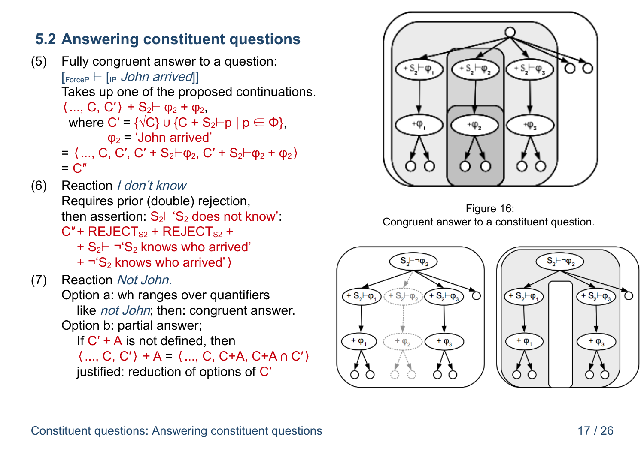#### **5.2 Answering constituent questions**

- (5) Fully congruent answer to a question:  $[$ ForceP  $\vdash$   $[$ <sub>IP</sub> John arrived<sup>[1]</sup> Takes up one of the proposed continuations.  $\langle ..., C, C' \rangle + S_2 \vdash \varphi_2 + \varphi_2$ where C' =  $\{\sqrt{C}\}\cup\{C + S_2 \vdash p \mid p \in \Phi\}$ ,  $\Phi_2$  = 'John arrived'  $= \langle ... , C , C', C' + S_2 \vdash \varphi_2, C' + S_2 \vdash \varphi_2 + \varphi_2 \rangle$  $= C''$
- (6) Reaction I don't know Requires prior (double) rejection, then assertion:  $S_2$ ⊢'S<sub>2</sub> does not know':  $C''$  + REJECT<sub>S2</sub> + REJECT<sub>S2</sub> + + S2⊢ ¬'S2 knows who arrived'
	- + ¬'S2 knows who arrived'⟩
- <span id="page-16-0"></span>(7) Reaction Not John. Option a: wh ranges over quantifiers like *not John*; then: congruent answer. Option b: partial answer; If  $C'$  + A is not defined, then  $\langle ..., C, C' \rangle + A = \langle ..., C, C+A, C+A \cap C' \rangle$

justified: reduction of options of C′



Figure 16: Congruent answer to a constituent question.



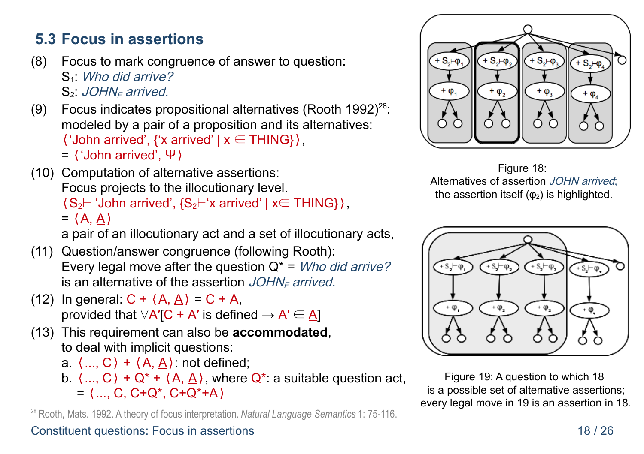#### **5.3 Focus in assertions**

- (8) Focus to mark congruence of answer to question: S<sub>1</sub>: Who did arrive?  $S<sub>2</sub>$ . JOHN<sub>F</sub> arrived.
- (9) Focus indicates propositional alternatives (Rooth 1992) [28](#page-17-2): modeled by a pair of a proposition and its alternatives:  $\langle$  'John arrived',  $\{x \text{ arrived}\}\times \in \text{THING}\}\rangle$ , = ⟨'John arrived', Ψ⟩
- (10) Computation of alternative assertions: Focus projects to the illocutionary level.  $(S_2 \vdash 'John$  arrived',  $\{S_2 \vdash 'x$  arrived' | x∈ THING} $\}$ ,  $=$   $(A, A)$

a pair of an illocutionary act and a set of illocutionary acts,

- (11) Question/answer congruence (following Rooth): Every legal move after the question  $Q^* =$  *Who did arrive?* is an alternative of the assertion  $JOHN<sub>F</sub>$  arrived.
- <span id="page-17-3"></span>(12) In general:  $C + \langle A, \underline{A} \rangle = C + A$ , provided that  $\forall A'[C + A']$  is defined  $\rightarrow A' \in \underline{A}$
- (13) This requirement can also be **accommodated**, to deal with implicit questions:
	- a.  $\langle ... , C \rangle + \langle A, \underline{A} \rangle$ : not defined;
	- b.  $\langle ... , C \rangle + Q^* + \langle A, A \rangle$ , where  $Q^*$ : a suitable question act,  $=$   $\langle$  ..., C, C+Q\*, C+Q\*+A $\rangle$

<span id="page-17-2"></span><sup>28</sup> Rooth, Mats. 1992. A theory of focus interpretation. *Natural Language Semantics* 1: 75-116.



<span id="page-17-0"></span>Figure 18: Alternatives of assertion JOHN arrived: the assertion itself  $(\phi_2)$  is highlighted.



<span id="page-17-1"></span>Figure 19: A question to which [18](#page-17-0) is a possible set of alternative assertions; every legal move in [19](#page-17-1) is an assertion in [18.](#page-17-0)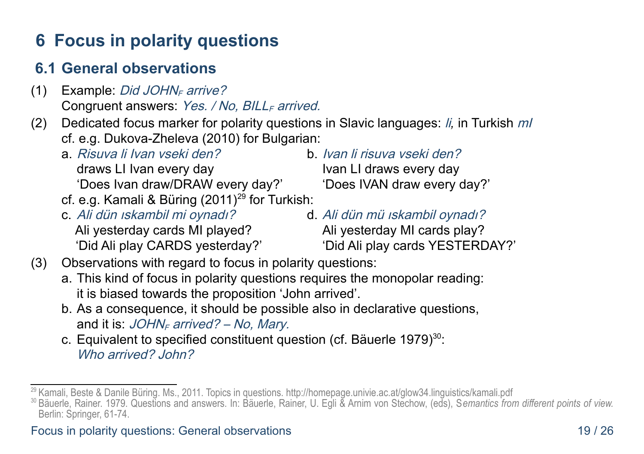# **6 Focus in polarity questions**

#### **6.1 General observations**

- (1) Example: Did JOHN<sub>F</sub> arrive? Congruent answers:  $Yes. / No. BILL<sub>F</sub> arrived.$
- (2) Dedicated focus marker for polarity questions in Slavic languages: li*,* in Turkish mI cf. e.g. Dukova-Zheleva (2010) for Bulgarian:
	- a. Risuva li Ivan vseki den? b. Ivan li risuva vseki den? draws LI Ivan every day **IVALU SHOW** Ivan LI draws every day
	- cf. e.g. Kamali & Büring  $(2011)^{29}$  $(2011)^{29}$  $(2011)^{29}$  for Turkish:
	- c. Ali dün ıskambil mi oynadı? d. Ali dün mü ıskambil oynadı? Ali yesterday cards MI played? Ali yesterday MI cards play?
- 

'Does Ivan draw/DRAW every day?' Cloes IVAN draw every day?'

- 
- 'Did Ali play CARDS yesterday?' 'Did Ali play cards YESTERDAY?'
- (3) Observations with regard to focus in polarity questions:
	- a. This kind of focus in polarity questions requires the monopolar reading: it is biased towards the proposition 'John arrived'.
	- b. As a consequence, it should be possible also in declarative questions, and it is:  $JOHN<sub>F</sub>$  arrived? – No, Mary.
	- c. Equivalent to specified constituent question (cf. Bäuerle 1979) [30](#page-18-1): Who arrived? John?

<span id="page-18-0"></span><sup>&</sup>lt;sup>29</sup> Kamali, Beste & Danile Büring. Ms., 2011. Topics in questions. http://homepage.univie.ac.at/glow34.linguistics/kamali.pdf

<span id="page-18-1"></span><sup>30</sup> Bäuerle, Rainer. 1979. Questions and answers. In: Bäuerle, Rainer, U. Egli & Arnim von Stechow, (eds), S*emantics from different points of view.* Berlin: Springer, 61-74.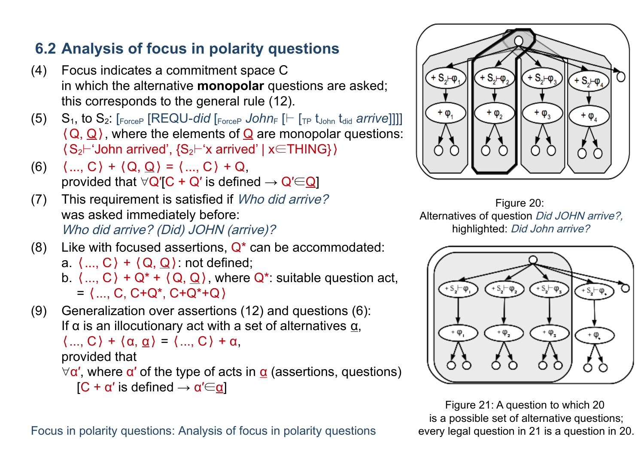### **6.2 Analysis of focus in polarity questions**

- (4) Focus indicates a commitment space C in which the alternative **monopolar** questions are asked; this corresponds to the general rule [\(12\).](#page-17-3)
- $(5)$  S<sub>1</sub>, to S<sub>2</sub>:  $\lceil_{\text{ForceP}}$  [REQU-*did*  $\lceil_{\text{ForceP}}$  John<sub>F</sub> [ $\vdash$  [<sub>TP</sub> t<sub>John</sub> t<sub>did</sub> *arrive*]]]]  $\langle Q, Q \rangle$ , where the elements of Q are monopolar questions: ⟨S2⊢'John arrived', {S2⊢'x arrived' | x∈THING}⟩
- <span id="page-19-1"></span>(6)  $\langle ... , C \rangle + \langle Q, Q \rangle = \langle ... , C \rangle + Q$ provided that  $\forall Q'$ [C + Q' is defined  $\rightarrow Q' \in Q$ ]
- (7) This requirement is satisfied if Who did arrive? was asked immediately before: Who did arrive? (Did) JOHN (arrive)?
- (8) Like with focused assertions,  $Q^*$  can be accommodated: a.  $\langle \dots, C \rangle + \langle Q, Q \rangle$ : not defined; b.  $\langle ..., C \rangle + Q^* + \langle Q, Q \rangle$ , where  $Q^*$ : suitable question act,

 $=$   $\langle$  ..., C, C+Q<sup>\*</sup>, C+Q<sup>\*</sup>+Q $\rangle$ 

(9) Generalization over assertions [\(12\)](#page-17-3) and questions [\(6\):](#page-19-1) If  $\alpha$  is an illocutionary act with a set of alternatives  $\underline{\alpha}$ ,

 $\langle \dots, C \rangle + \langle \alpha, \underline{\alpha} \rangle = \langle \dots, C \rangle + \alpha,$ 

#### provided that

 $\forall \alpha'$ , where  $\alpha'$  of the type of acts in  $\alpha$  (assertions, questions)

 $[C + \alpha'$  is defined  $\rightarrow \alpha' \in \alpha]$ 



 $\cdot$  S<sub>2</sub> $\vdash$  $\phi$ 

 $+ S<sub>2</sub>+ \varphi<sub>2</sub>$ 

 $+ S_2 + \varphi_3$ 

<span id="page-19-2"></span>

<span id="page-19-0"></span>Figure 21: A question to which [20](#page-19-2) is a possible set of alternative questions; every legal question in [21](#page-19-0) is a question in [20.](#page-19-2)

Focus in polarity questions: Analysis of focus in polarity questions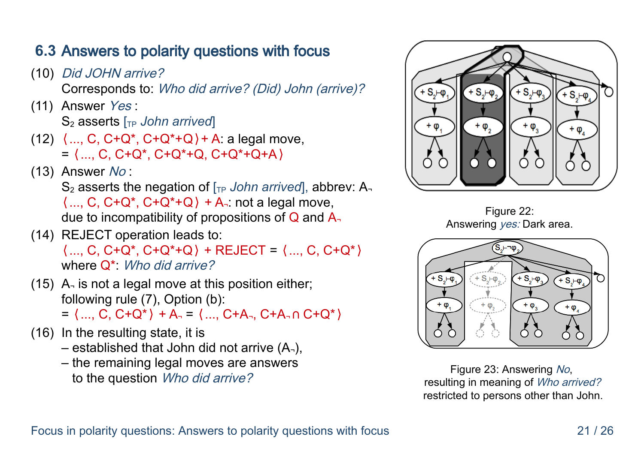#### **6.3** Answers to polarity questions with focus

- (10) Did JOHN arrive? Corresponds to: Who did arrive? (Did) John (arrive)?
- (11) Answer Yes : S<sub>2</sub> asserts [<sub>TP</sub> John arrived]
- (12)  $\langle ... , C , C + Q^* , C + Q^* + Q \rangle + A$ : a legal move,  $=$   $\langle$  ..., C, C+Q\*, C+Q\*+Q, C+Q\*+Q+A $\rangle$
- $(13)$  Answer No:

S<sub>2</sub> asserts the negation of  $\Gamma_{TP}$  *John arrived*, abbrev: A<sub>7</sub>  $\langle ..., C, C+Q^*, C+Q^*+Q \rangle + A$  not a legal move, due to incompatibility of propositions of  $Q$  and  $A$ 

- (14) REJECT operation leads to: ⟨..., C, C+Q\*, C+Q\*+Q⟩ + REJECT = ⟨..., C, C+Q\*⟩ where  $Q^*$ : *Who did arrive?*
- (15) A¬ is not a legal move at this position either; following rule [\(7\),](#page-16-0) Option (b):
	- $=$   $\langle$  ..., C, C+Q<sup>\*</sup> $\rangle$  + A<sub>2</sub> =  $\langle$  ..., C+A<sub>3</sub>, C+A<sub>3</sub>  $\cap$  C+Q<sup>\*</sup> $\rangle$
- (16) In the resulting state, it is
	- $-$  established that John did not arrive  $(A_2)$ ,
	- the remaining legal moves are answers to the question Who did arrive?



Figure 22: Answering yes: Dark area.



Figure 23: Answering No, resulting in meaning of Who arrived? restricted to persons other than John.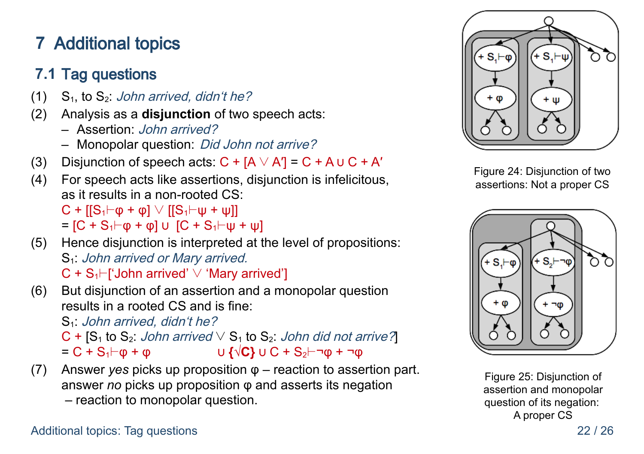# **7** Additional topics

# **7.1** Tag questions

- (1)  $S_1$ , to  $S_2$ : John arrived, didn't he?
- (2) Analysis as a **disjunction** of two speech acts:
	- Assertion: John arrived?
	- Monopolar question: Did John not arrive?
- (3) Disjunction of speech acts:  $C + [A \vee A'] = C + A \cup C + A'$
- (4) For speech acts like assertions, disjunction is infelicitous, as it results in a non-rooted CS:  $C$  +  $[[S_1 \vdash \varphi + \varphi] \lor [[S_1 \vdash \psi + \psi]]$ =  $[C + S_1$   $\vdash$   $\phi$  +  $\phi$  $]$  ∪  $[C + S_1$   $\vdash$   $\psi$  +  $\psi$  $]$
- (5) Hence disjunction is interpreted at the level of propositions: S<sub>1</sub>: John arrived or Mary arrived.

C + S1⊢['John arrived' ∨ 'Mary arrived']

(6) But disjunction of an assertion and a monopolar question results in a rooted CS and is fine:

 $S_1$ : John arrived, didn't he?

 $C$  +  $[S_1$  to  $S_2$ : John arrived  $\vee$   $S_1$  to  $S_2$ : John did not arrive?  $= C + S_1$  $\vdash \phi + \phi$   $\qquad \qquad \qquad \cup \{\sqrt{C}\} \cup C + S_2$   $\vdash \neg \phi + \neg \phi$ 

(7) Answer *yes* picks up proposition φ – reaction to assertion part. answer *no* picks up proposition φ and asserts its negation – reaction to monopolar question.



Figure 24: Disjunction of two assertions: Not a proper CS



Figure 25: Disjunction of assertion and monopolar question of its negation: A proper CS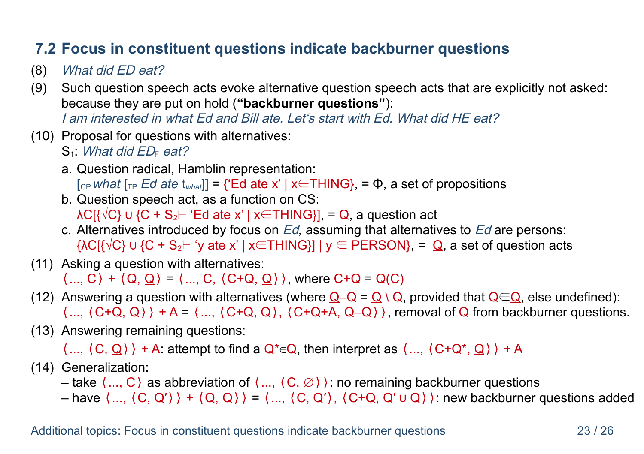#### **7.2 Focus in constituent questions indicate backburner questions**

- (8) What did ED eat?
- (9) Such question speech acts evoke alternative question speech acts that are explicitly not asked: because they are put on hold (**"backburner questions"**): I am interested in what Ed and Bill ate. Let's start with Ed. What did HE eat?
- (10) Proposal for questions with alternatives:
	- $S_1$ : *What did ED<sub>F</sub>* eat?
	- a. Question radical, Hamblin representation: [CP *what* [TP *Ed ate* t*what*]] = {'Ed ate x' | x∈THING}, = Φ, a set of propositions
	- b. Question speech act, as a function on CS:  $\Delta C[\sqrt{\frac{C}{C}}]$   $\cup$   $\{C + S_2$   $\vdash$  'Ed ate x' | x  $\in$  THING  $\}$ ], = Q, a question act
	- c. Alternatives introduced by focus on Ed*,* assuming that alternatives to Ed are persons:  ${AC}$ { $\vee$ C}  $\cup$  {C + S<sub>2</sub> $\vdash$  'y ate x' | x∈THING}] | y ∈ PERSON}, =  $Q$ , a set of question acts
- (11) Asking a question with alternatives:  $\langle ... , C \rangle + \langle Q, Q \rangle = \langle ... , C, \langle C + Q, Q \rangle \rangle$ , where  $C + Q = Q(C)$
- (12) Answering a question with alternatives (where  $Q-Q = Q \setminus Q$ , provided that  $Q \in Q$ , else undefined):  $\langle ..., \langle C+Q, Q \rangle \rangle + A = \langle ..., \langle C+Q, Q \rangle, \langle C+Q+A, Q-Q \rangle \rangle$ , removal of Q from backburner questions.
- (13) Answering remaining questions:

 $\langle ...,\langle C,Q\rangle\rangle + A$ : attempt to find a  $Q^* \in Q$ , then interpret as  $\langle ...,\langle C+Q^*,Q\rangle\rangle + A$ 

(14) Generalization:

– take  $\langle ... , C \rangle$  as abbreviation of  $\langle ... , \langle C, \emptyset \rangle$  : no remaining backburner questions

– have  $\langle ..., \langle C, Q' \rangle \rangle$  +  $\langle Q, Q \rangle$  =  $\langle ..., \langle C, Q' \rangle$ ,  $\langle C + Q, Q' \cup Q \rangle$  : new backburner questions added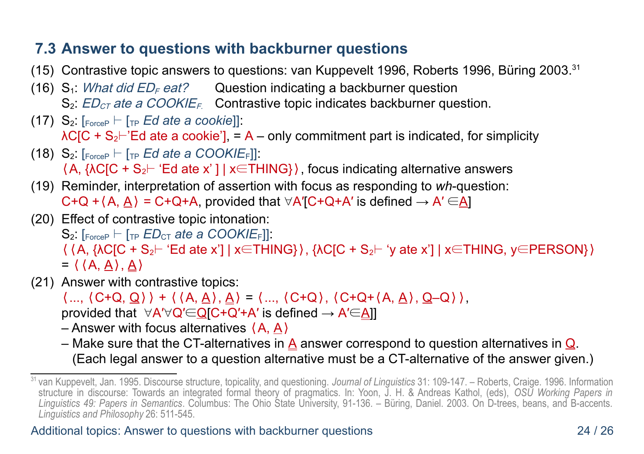#### **7.3 Answer to questions with backburner questions**

- (15) Contrastive topic answers to questions: van Kuppevelt 1996, Roberts 1996, Büring 2003.<sup>[31](#page-23-0)</sup>
- (16)  $S_1$ : *What did ED<sub>F</sub> eat?* Question indicating a backburner question  $S_2$ :  $ED_{CT}$  ate a COOKIE<sub>F</sub>. Contrastive topic indicates backburner question.
- (17)  $S_2$ :  $\lceil_{\text{ForceP}} \rceil$   $\lceil_{\text{TP}} \text{Ed}$  ate a cookie]]:  $\lambda$ C[C + S<sub>2</sub> $\vdash$ 'Ed ate a cookie'], = A – only commitment part is indicated, for simplicity
- (18)  $S_2$   $\lceil_{\text{ForceP}} \rceil$   $\lceil_{\text{TP}} \text{Ed}$  ate a COOKIE<sub>F</sub>]]:  $\langle A, \{\lambda C[C + S_2] \mid E\right] \times \subset \mathbb{R}$  THING \, focus indicating alternative answers
- (19) Reminder, interpretation of assertion with focus as responding to *wh*-question: C+Q + $(A, A)$  = C+Q+A, provided that  $\forall A'$ [C+Q+A' is defined  $\rightarrow A' \in A$ ]
- (20) Effect of contrastive topic intonation:  $S_2$ :  $F_{\text{forceP}}$  ⊢  $F_{\text{TP}}$  *ED*<sub>CT</sub> ate a COOKIE<sub>F</sub>]]:  $\langle$   $\langle A, \{AC|C + S_2 \vdash 'Ed \text{ ate } x'\} | x \in THING\} \rangle$ ,  $\langle AC|C + S_2 \vdash 'y \text{ ate } x'\rangle | x \in THING, y \in PERSON\}$  $= \langle (A, A), A \rangle$
- (21) Answer with contrastive topics:

 $\langle ..., \langle C+Q, Q \rangle \rangle + \langle \langle A, \underline{A} \rangle, \underline{A} \rangle = \langle ..., \langle C+Q \rangle, \langle C+Q+(A, \underline{A}), Q-Q \rangle \rangle,$ 

provided that  $\forall A' \forall Q' \in Q \cap C + Q' + A'$  is defined  $\rightarrow A' \in A$ ]

– Answer with focus alternatives ⟨A, A⟩

– Make sure that the CT-alternatives in  $\underline{A}$  answer correspond to question alternatives in  $\underline{Q}$ . (Each legal answer to a question alternative must be a CT-alternative of the answer given.)

<span id="page-23-0"></span><sup>31</sup> van Kuppevelt, Jan. 1995. Discourse structure, topicality, and questioning. *Journal of Linguistics* 31: 109-147. – Roberts, Craige. 1996. Information structure in discourse: Towards an integrated formal theory of pragmatics. In: Yoon, J. H. & Andreas Kathol, (eds), *OSU Working Papers in Linguistics 49: Papers in Semantics*. Columbus: The Ohio State University, 91-136. – Büring, Daniel. 2003. On D-trees, beans, and B-accents. *Linguistics and Philosophy* 26: 511-545.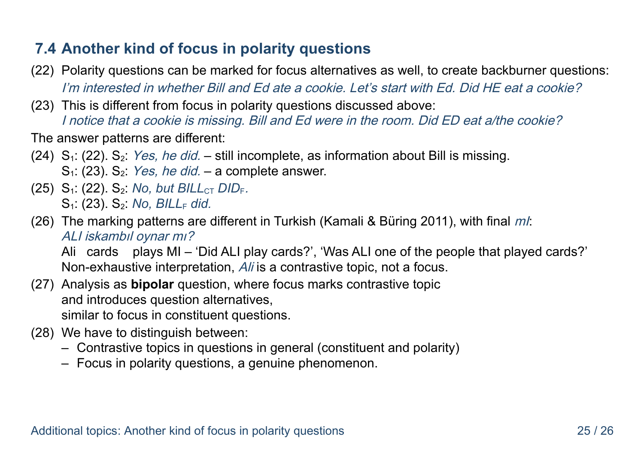#### **7.4 Another kind of focus in polarity questions**

- <span id="page-24-0"></span>(22) Polarity questions can be marked for focus alternatives as well, to create backburner questions: I'm interested in whether Bill and Ed ate a cookie. Let's start with Ed. Did HE eat a cookie?
- <span id="page-24-1"></span>(23) This is different from focus in polarity questions discussed above: I notice that a cookie is missing. Bill and Ed were in the room. Did ED eat a/the cookie?

The answer patterns are different:

- (24)  $S<sub>1</sub>$ : [\(22\).](#page-24-0)  $S<sub>2</sub>$ : *Yes, he did.* still incomplete, as information about Bill is missing.  $S_1$ : [\(23\).](#page-24-1)  $S_2$ : *Yes, he did.* – a complete answer.
- (25) S<sub>1</sub>: (22) S<sub>2</sub>: *No, but BILL<sub>CT</sub> DID<sub>F</sub>.* S<sub>1</sub>: [\(23\).](#page-24-1) S<sub>2</sub>: *No*, *BILL<sub>F</sub>* did.
- (26) The marking patterns are different in Turkish (Kamali & Büring 2011), with final  $ml$ : ALI iskambıl oynar mı?

Ali cards plays MI – 'Did ALI play cards?', 'Was ALI one of the people that played cards?' Non-exhaustive interpretation, Ali is a contrastive topic, not a focus.

- (27) Analysis as **bipolar** question, where focus marks contrastive topic and introduces question alternatives, similar to focus in constituent questions.
- (28) We have to distinguish between:
	- Contrastive topics in questions in general (constituent and polarity)
	- Focus in polarity questions, a genuine phenomenon.